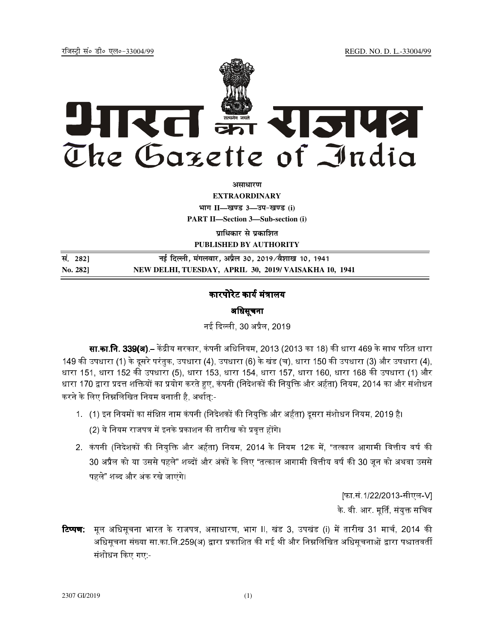REGD. NO. D. L.-33004/99

रजिस्टी सं० डी० एल०-33004/99



अमाधारण

**EXTRAORDINARY** भाग II-खण्ड 3-उप-खण्ड (i)

**PART II-Section 3-Sub-section (i)** 

प्राधिकार से प्रकाशित PUBLISHED BY AUTHORITY

| सं. 282] | नई दिल्ली, मंगलवार, अप्रैल 30, 2019⁄वैशाख 10, 1941    |
|----------|-------------------------------------------------------|
| No. 2821 | NEW DELHI, TUESDAY, APRIL 30, 2019/ VAISAKHA 10, 1941 |

## कारपोरेट कार्य मंत्रालय

## अधिसूचना

नई दिल्ली, 30 अप्रैल, 2019

**सा.का.नि. 339(अ).**– केंद्रीय सरकार, कंपनी अधिनियम, 2013 (2013 का 18) की धारा 469 के साथ पठित धारा 149 की उपधारा (1) के दूसरे परंतुक, उपधारा (4), उपधारा (6) के खंड (च), धारा 150 की उपधारा (3) और उपधारा (4), धारा 151, धारा 152 की उपधारा (5), धारा 153, धारा 154, धारा 157, धारा 160, धारा 168 की उपधारा (1) और धारा 170 द्वारा प्रदत्त शक्तियों का प्रयोग करते हुए, कंपनी (निदेशकों की नियुक्ति और अर्हता) नियम, 2014 का और संशोधन करने के लिए निम्नलिखित नियम बनाती है, अर्थात:-

- 1. (1) इन नियमों का संक्षिप्त नाम कंपनी (निदेशकों की नियुक्ति और अर्हता) दूसरा संशोधन नियम, 2019 है। (2) ये नियम राजपत्र में इनके प्रकाशन की तारीख को प्रवृत्त होंगे।
- 2. कंपनी (निदेशकों की नियुक्ति और अर्हता) नियम, 2014 के नियम 12क में, "तत्काल आगामी वित्तीय वर्ष की 30 अप्रैल को या उससे पहले" शब्दों और अंकों के लिए "तत्काल आगामी वित्तीय वर्ष की 30 जून को अथवा उससे पहले" शब्द और अंक रखे जाएंगे।

[फा.सं.1/22/2013-सीएल-V] के. वी. आर. मूर्ति, संयुक्त सचिव

**टिप्पण:** मूल अधिसूचना भारत के राजपत्र, असाधारण, भाग II, खंड 3, उपखंड (i) में तारीख 31 मार्च, 2014 की अधिसूचना संख्या सा.का.नि.259(अ) द्वारा प्रकाशित की गई थी और निम्नलिखित अधिसूचनाओं द्वारा पश्चातवर्ती संशोधन किए गए -